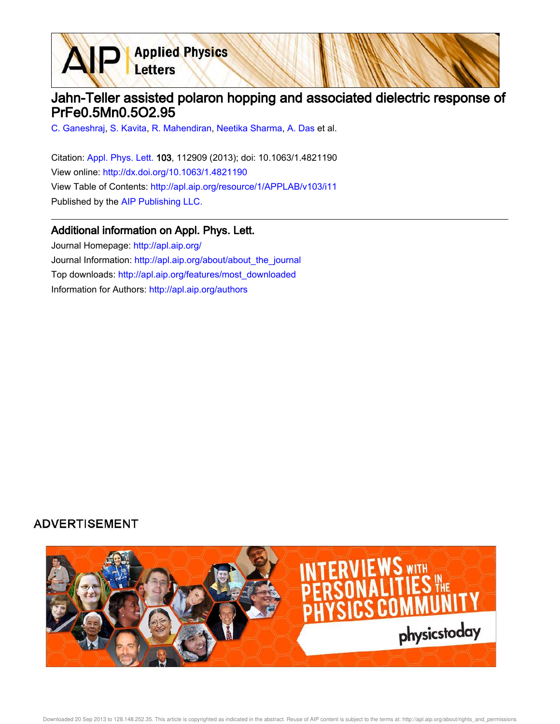Letters

## Jahn-Teller assisted polaron hopping and associated dielectric response of PrFe0.5Mn0.5O2.95

C. Ganeshraj, S. Kavita, R. Mahendiran, Neetika Sharma, A. Das et al.

**Applied Physics** 

Citation: Appl. Phys. Lett. 103, 112909 (2013); doi: 10.1063/1.4821190 View online: http://dx.doi.org/10.1063/1.4821190 View Table of Contents: http://apl.aip.org/resource/1/APPLAB/v103/i11 Published by the AIP Publishing LLC.

## Additional information on Appl. Phys. Lett.

Journal Homepage: http://apl.aip.org/ Journal Information: http://apl.aip.org/about/about\_the\_journal Top downloads: http://apl.aip.org/features/most\_downloaded Information for Authors: http://apl.aip.org/authors

## **ADVERTISEMENT**

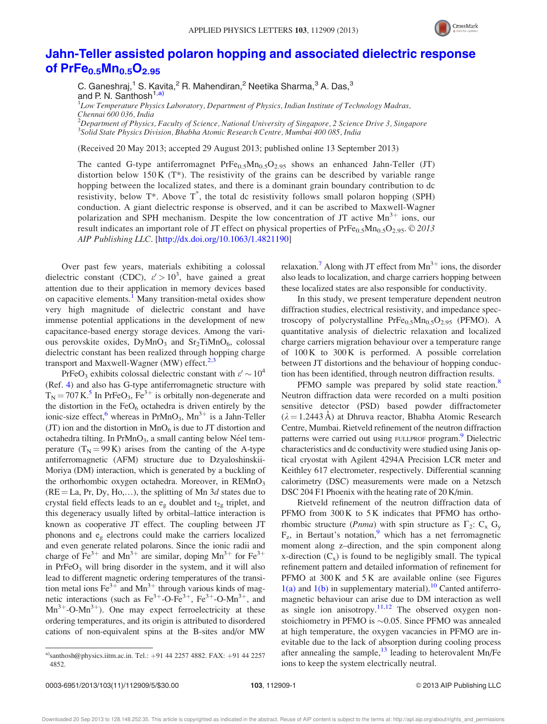

## Jahn-Teller assisted polaron hopping and associated dielectric response of  $PrFe_{0.5}Mn_{0.5}O_{2.95}$

C. Ganeshraj,<sup>1</sup> S. Kavita,<sup>2</sup> R. Mahendiran,<sup>2</sup> Neetika Sharma,<sup>3</sup> A. Das,<sup>3</sup> and P. N. Santhosh<sup>1,a)</sup>

 ${}^{1}$ Low Temperature Physics Laboratory, Department of Physics, Indian Institute of Technology Madras, Chennai 600 036, India

<sup>2</sup>Department of Physics, Faculty of Science, National University of Singapore, 2 Science Drive 3, Singapore 3 Solid State Physics Division, Bhabha Atomic Research Centre, Mumbai 400 085, India

(Received 20 May 2013; accepted 29 August 2013; published online 13 September 2013)

The canted G-type antiferromagnet  $PrFe_{0.5}Mn_{0.5}O_{2.95}$  shows an enhanced Jahn-Teller (JT) distortion below 150 K (T\*). The resistivity of the grains can be described by variable range hopping between the localized states, and there is a dominant grain boundary contribution to dc resistivity, below  $T^*$ . Above  $T^*$ , the total dc resistivity follows small polaron hopping (SPH) conduction. A giant dielectric response is observed, and it can be ascribed to Maxwell-Wagner polarization and SPH mechanism. Despite the low concentration of JT active  $Mn^{3+}$  ions, our result indicates an important role of JT effect on physical properties of  $PrFe_{0.5}Mn_{0.5}O_{2.95}$ . © 2013 AIP Publishing LLC. [http://dx.doi.org/10.1063/1.4821190]

Over past few years, materials exhibiting a colossal dielectric constant (CDC),  $\varepsilon' > 10^3$ , have gained a great attention due to their application in memory devices based on capacitive elements.<sup>1</sup> Many transition-metal oxides show very high magnitude of dielectric constant and have immense potential applications in the development of new capacitance-based energy storage devices. Among the various perovskite oxides, DyMnO<sub>3</sub> and Sr<sub>2</sub>TiMnO<sub>6</sub>, colossal dielectric constant has been realized through hopping charge transport and Maxwell-Wagner (MW) effect.<sup>2,3</sup>

PrFeO<sub>3</sub> exhibits colossal dielectric constant with  $\varepsilon' \sim 10^4$ (Ref. 4) and also has G-type antiferromagnetic structure with  $T_N = 707 \text{ K}$ .<sup>5</sup> In PrFeO<sub>3</sub>, Fe<sup>3+</sup> is orbitally non-degenerate and the distortion in the  $FeO<sub>6</sub>$  octahedra is driven entirely by the ionic-size effect, whereas in PrMnO<sub>3</sub>, Mn<sup>3+</sup> is a Jahn-Teller (JT) ion and the distortion in  $MnO<sub>6</sub>$  is due to JT distortion and octahedra tilting. In PrMnO<sub>3</sub>, a small canting below Néel temperature  $(T_N = 99 K)$  arises from the canting of the A-type antiferromagnetic (AFM) structure due to Dzyaloshinskii-Moriya (DM) interaction, which is generated by a buckling of the orthorhombic oxygen octahedra. Moreover, in  $REMnO<sub>3</sub>$  $(RE = La, Pr, Dy, Ho,...)$ , the splitting of Mn 3d states due to crystal field effects leads to an  $e_{g}$  doublet and  $t_{2g}$  triplet, and this degeneracy usually lifted by orbital–lattice interaction is known as cooperative JT effect. The coupling between JT phonons and e<sup>g</sup> electrons could make the carriers localized and even generate related polarons. Since the ionic radii and charge of  $Fe^{3+}$  and  $Mn^{3+}$  are similar, doping  $Mn^{3+}$  for  $Fe^{3+}$ in  $PrFeO<sub>3</sub>$  will bring disorder in the system, and it will also lead to different magnetic ordering temperatures of the transition metal ions  $\text{Fe}^{3+}$  and  $\text{Mn}^{3+}$  through various kinds of magnetic interactions (such as  $Fe^{3+}$ -O-Fe<sup>3+</sup>, Fe<sup>3+</sup>-O-Mn<sup>3+</sup>, and  $Mn^{3+}$ -O-Mn<sup>3+</sup>). One may expect ferroelectricity at these ordering temperatures, and its origin is attributed to disordered cations of non-equivalent spins at the B-sites and/or MW

relaxation.<sup>7</sup> Along with JT effect from  $Mn^{3+}$  ions, the disorder also leads to localization, and charge carriers hopping between these localized states are also responsible for conductivity.

In this study, we present temperature dependent neutron diffraction studies, electrical resistivity, and impedance spectroscopy of polycrystalline  $PrFe_{0.5}Mn_{0.5}O_{2.95}$  (PFMO). A quantitative analysis of dielectric relaxation and localized charge carriers migration behaviour over a temperature range of 100 K to 300 K is performed. A possible correlation between JT distortions and the behaviour of hopping conduction has been identified, through neutron diffraction results.

PFMO sample was prepared by solid state reaction.<sup>8</sup> Neutron diffraction data were recorded on a multi position sensitive detector (PSD) based powder diffractometer  $(\lambda = 1.2443 \text{ Å})$  at Dhruva reactor, Bhabha Atomic Research Centre, Mumbai. Rietveld refinement of the neutron diffraction patterns were carried out using FULLPROF program.<sup>9</sup> Dielectric characteristics and dc conductivity were studied using Janis optical cryostat with Agilent 4294A Precision LCR meter and Keithley 617 electrometer, respectively. Differential scanning calorimetry (DSC) measurements were made on a Netzsch DSC 204 F1 Phoenix with the heating rate of 20 K/min.

Rietveld refinement of the neutron diffraction data of PFMO from 300 K to 5 K indicates that PFMO has orthorhombic structure (*Pnma*) with spin structure as  $\Gamma_2$ : C<sub>x</sub> G<sub>y</sub>  $F_z$ , in Bertaut's notation,<sup>9</sup> which has a net ferromagnetic moment along z–direction, and the spin component along x-direction  $(C_x)$  is found to be negligibly small. The typical refinement pattern and detailed information of refinement for PFMO at  $300 K$  and  $5 K$  are available online (see Figures  $1(a)$  and  $1(b)$  in supplementary material).<sup>10</sup> Canted antiferromagnetic behaviour can arise due to DM interaction as well as single ion anisotropy.<sup>11,12</sup> The observed oxygen nonstoichiometry in PFMO is  $\sim 0.05$ . Since PFMO was annealed at high temperature, the oxygen vacancies in PFMO are inevitable due to the lack of absorption during cooling process after annealing the sample, $^{13}$  leading to heterovalent Mn/Fe ions to keep the system electrically neutral.

a)santhosh@physics.iitm.ac.in. Tel.: +91 44 2257 4882. FAX: +91 44 2257 4852.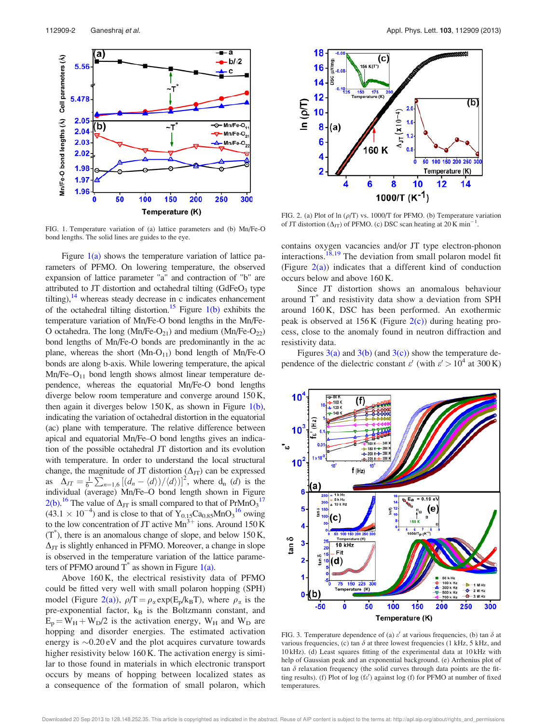

FIG. 1. Temperature variation of (a) lattice parameters and (b) Mn/Fe-O bond lengths. The solid lines are guides to the eye.

Figure  $1(a)$  shows the temperature variation of lattice parameters of PFMO. On lowering temperature, the observed expansion of lattice parameter "a" and contraction of "b" are attributed to JT distortion and octahedral tilting  $(GdFeO<sub>3</sub>$  type tilting), $14$  whereas steady decrease in c indicates enhancement of the octahedral tilting distortion.<sup>15</sup> Figure 1(b) exhibits the temperature variation of Mn/Fe-O bond lengths in the Mn/Fe-O octahedra. The long  $(Mn/Fe-O_{21})$  and medium  $(Mn/Fe-O_{22})$ bond lengths of Mn/Fe-O bonds are predominantly in the ac plane, whereas the short  $(Mn-O_{11})$  bond length of Mn/Fe-O bonds are along b-axis. While lowering temperature, the apical  $Mn/Fe-O<sub>11</sub>$  bond length shows almost linear temperature dependence, whereas the equatorial Mn/Fe-O bond lengths diverge below room temperature and converge around 150 K, then again it diverges below 150 K, as shown in Figure  $1(b)$ , indicating the variation of octahedral distortion in the equatorial (ac) plane with temperature. The relative difference between apical and equatorial Mn/Fe–O bond lengths gives an indication of the possible octahedral JT distortion and its evolution with temperature. In order to understand the local structural change, the magnitude of JT distortion  $(\Delta_{JT})$  can be expressed as  $\Delta_{JT} = \frac{1}{6} \sum_{n=1,6}^{\infty} \left[ \left( d_n - \langle d \rangle \right) / \langle d \rangle \right]^2$ , where  $d_n$  (*d*) is the individual (average) Mn/Fe–O bond length shown in Figure 2(b).<sup>16</sup> The value of  $\Delta_{\text{JT}}$  is small compared to that of  $\text{PrMnO}_3$ <sup>17</sup>  $(43.1 \times 10^{-4})$  and is close to that of  $Y_{0.15}Ca_{0.85}MnO<sub>3</sub><sup>16</sup> owing$ to the low concentration of JT active  $Mn^{3+}$  ions. Around 150 K  $(T^*)$ , there is an anomalous change of slope, and below 150 K,  $\Delta_{\text{JT}}$  is slightly enhanced in PFMO. Moreover, a change in slope is observed in the temperature variation of the lattice parameters of PFMO around  $\overline{T}^*$  as shown in Figure 1(a).

Above 160 K, the electrical resistivity data of PFMO could be fitted very well with small polaron hopping (SPH) model (Figure 2(a)),  $\rho/T = \rho_{\alpha} \exp(E_p/k_BT)$ , where  $\rho_{\alpha}$  is the pre-exponential factor,  $k_B$  is the Boltzmann constant, and  $E_p = W_H + W_D/2$  is the activation energy,  $W_H$  and  $W_D$  are hopping and disorder energies. The estimated activation energy is  $\sim 0.20 \text{ eV}$  and the plot acquires curvature towards higher resistivity below 160 K. The activation energy is similar to those found in materials in which electronic transport occurs by means of hopping between localized states as a consequence of the formation of small polaron, which



FIG. 2. (a) Plot of ln  $(\rho/T)$  vs. 1000/T for PFMO. (b) Temperature variation of JT distortion  $(\Delta_{JT})$  of PFMO. (c) DSC scan heating at 20 K min<sup>-1</sup>.

contains oxygen vacancies and/or JT type electron-phonon interactions.18,19 The deviation from small polaron model fit (Figure  $2(a)$ ) indicates that a different kind of conduction occurs below and above 160 K.

Since JT distortion shows an anomalous behaviour around T\* and resistivity data show a deviation from SPH around 160 K, DSC has been performed. An exothermic peak is observed at  $156K$  (Figure  $2(c)$ ) during heating process, close to the anomaly found in neutron diffraction and resistivity data.

Figures  $3(a)$  and  $3(b)$  (and  $3(c)$ ) show the temperature dependence of the dielectric constant  $\varepsilon'$  (with  $\varepsilon' > 10^4$  at 300 K)



FIG. 3. Temperature dependence of (a)  $\varepsilon'$  at various frequencies, (b) tan  $\delta$  at various frequencies, (c) tan  $\delta$  at three lowest frequencies (1 kHz, 5 kHz, and 10 kHz). (d) Least squares fitting of the experimental data at 10 kHz with help of Gaussian peak and an exponential background. (e) Arrhenius plot of tan  $\delta$  relaxation frequency (the solid curves through data points are the fitting results). (f) Plot of log (fe') against log (f) for PFMO at number of fixed temperatures.

Downloaded 20 Sep 2013 to 128.148.252.35. This article is copyrighted as indicated in the abstract. Reuse of AIP content is subject to the terms at: http://apl.aip.org/about/rights\_and\_permissions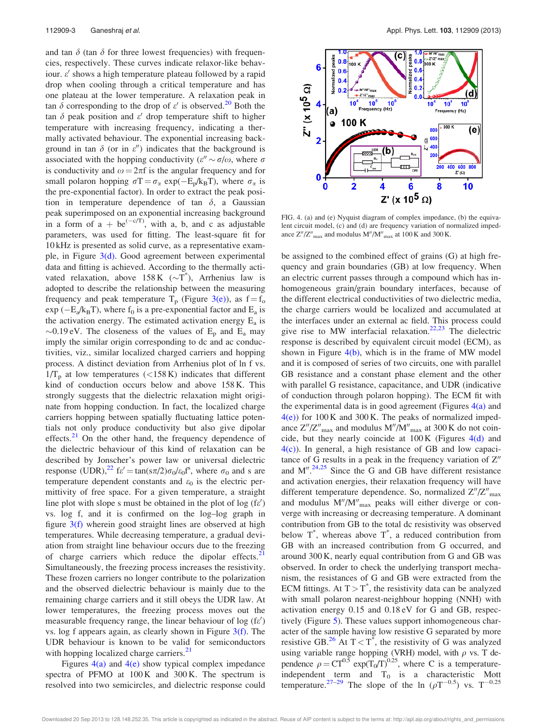and tan  $\delta$  (tan  $\delta$  for three lowest frequencies) with frequencies, respectively. These curves indicate relaxor-like behaviour.  $\varepsilon'$  shows a high temperature plateau followed by a rapid drop when cooling through a critical temperature and has one plateau at the lower temperature. A relaxation peak in tan  $\delta$  corresponding to the drop of  $\varepsilon'$  is observed.<sup>20</sup> Both the tan  $\delta$  peak position and  $\varepsilon'$  drop temperature shift to higher temperature with increasing frequency, indicating a thermally activated behaviour. The exponential increasing background in tan  $\delta$  (or in  $\varepsilon$ ") indicates that the background is associated with the hopping conductivity ( $\varepsilon'' \sim \sigma/\omega$ , where  $\sigma$ is conductivity and  $\omega = 2\pi f$  is the angular frequency and for small polaron hopping  $\sigma T = \sigma_{\alpha} \exp(-E_p/k_BT)$ , where  $\sigma_{\alpha}$  is the pre-exponential factor). In order to extract the peak position in temperature dependence of tan  $\delta$ , a Gaussian peak superimposed on an exponential increasing background in a form of a + be<sup> $(-c/T)$ </sup>, with a, b, and c as adjustable parameters, was used for fitting. The least-square fit for 10 kHz is presented as solid curve, as a representative example, in Figure 3(d). Good agreement between experimental data and fitting is achieved. According to the thermally activated relaxation, above  $158K$  ( $\sim$ T<sup>\*</sup>), Arrhenius law is adopted to describe the relationship between the measuring frequency and peak temperature  $T_p$  (Figure 3(e)), as  $f = f_o$  $\exp(-E_a/k_B T)$ , where  $f_0$  is a pre-exponential factor and  $E_a$  is the activation energy. The estimated activation energy  $E_a$  is  $\sim$ 0.19 eV. The closeness of the values of  $E_p$  and  $E_a$  may imply the similar origin corresponding to dc and ac conductivities, viz., similar localized charged carriers and hopping process. A distinct deviation from Arrhenius plot of ln f vs.  $1/T_p$  at low temperatures (<158 K) indicates that different kind of conduction occurs below and above 158 K. This strongly suggests that the dielectric relaxation might originate from hopping conduction. In fact, the localized charge carriers hopping between spatially fluctuating lattice potentials not only produce conductivity but also give dipolar effects. $21$  On the other hand, the frequency dependence of the dielectric behaviour of this kind of relaxation can be described by Jonscher's power law or universal dielectric response (UDR),<sup>22</sup>  $f\varepsilon' = \tan(\frac{5\pi}{2})\sigma_0/\varepsilon_0 f^s$ , where  $\sigma_0$  and s are temperature dependent constants and  $\varepsilon_0$  is the electric permittivity of free space. For a given temperature, a straight line plot with slope s must be obtained in the plot of  $log(f \epsilon')$ vs. log f, and it is confirmed on the log–log graph in figure  $3(f)$  wherein good straight lines are observed at high temperatures. While decreasing temperature, a gradual deviation from straight line behaviour occurs due to the freezing of charge carriers which reduce the dipolar effects. $21$ Simultaneously, the freezing process increases the resistivity. These frozen carriers no longer contribute to the polarization and the observed dielectric behaviour is mainly due to the remaining charge carriers and it still obeys the UDR law. At lower temperatures, the freezing process moves out the measurable frequency range, the linear behaviour of log (fe') vs. log f appears again, as clearly shown in Figure  $3(f)$ . The UDR behaviour is known to be valid for semiconductors with hopping localized charge carriers.<sup>21</sup>

Figures  $4(a)$  and  $4(e)$  show typical complex impedance spectra of PFMO at  $100 \text{ K}$  and  $300 \text{ K}$ . The spectrum is resolved into two semicircles, and dielectric response could



FIG. 4. (a) and (e) Nyquist diagram of complex impedance, (b) the equivalent circuit model, (c) and (d) are frequency variation of normalized impedance  $Z''/Z''_{\text{max}}$  and modulus  $M''/M''_{\text{max}}$  at 100 K and 300 K.

be assigned to the combined effect of grains (G) at high frequency and grain boundaries (GB) at low frequency. When an electric current passes through a compound which has inhomogeneous grain/grain boundary interfaces, because of the different electrical conductivities of two dielectric media, the charge carriers would be localized and accumulated at the interfaces under an external ac field. This process could give rise to MW interfacial relaxation.<sup>22,23</sup> The dielectric response is described by equivalent circuit model (ECM), as shown in Figure  $4(b)$ , which is in the frame of MW model and it is composed of series of two circuits, one with parallel GB resistance and a constant phase element and the other with parallel G resistance, capacitance, and UDR (indicative of conduction through polaron hopping). The ECM fit with the experimental data is in good agreement (Figures  $4(a)$ ) and  $4(e)$ ) for 100 K and 300 K. The peaks of normalized impedance  $Z''/Z''_{\text{max}}$  and modulus  $M''/M''_{\text{max}}$  at 300 K do not coincide, but they nearly coincide at  $100 K$  (Figures  $4(d)$  and 4(c)). In general, a high resistance of GB and low capacitance of G results in a peak in the frequency variation of  $Z''$ and  $M''$ .<sup>24,25</sup> Since the G and GB have different resistance and activation energies, their relaxation frequency will have different temperature dependence. So, normalized  $Z''/Z''_{\text{max}}$ and modulus  $M''/M''_{max}$  peaks will either diverge or converge with increasing or decreasing temperature. A dominant contribution from GB to the total dc resistivity was observed below  $T^*$ , whereas above  $T^*$ , a reduced contribution from GB with an increased contribution from G occurred, and around 300 K, nearly equal contribution from G and GB was observed. In order to check the underlying transport mechanism, the resistances of G and GB were extracted from the ECM fittings. At  $T > T^*$ , the resistivity data can be analyzed with small polaron nearest-neighbour hopping (NNH) with activation energy 0.15 and 0.18 eV for G and GB, respectively (Figure 5). These values support inhomogeneous character of the sample having low resistive G separated by more resistive GB.<sup>26</sup> At  $T < T^*$ , the resistivity of G was analyzed using variable range hopping (VRH) model, with  $\rho$  vs. T dependence  $\rho = CT^{0.5} \exp(T_0/T)^{0.25}$ , where C is a temperatureindependent term and  $T_0$  is a characteristic Mott temperature.<sup>27-29</sup> The slope of the ln  $(\rho T^{-0.5})$  vs.  $T^{-0.25}$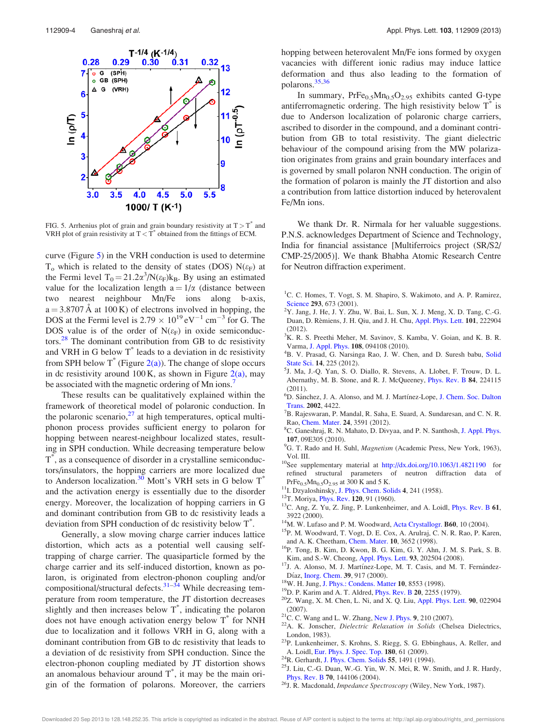

FIG. 5. Arrhenius plot of grain and grain boundary resistivity at  $T > T^*$  and VRH plot of grain resistivity at  $T < T^*$  obtained from the fittings of ECM.

curve (Figure 5) in the VRH conduction is used to determine  $T<sub>o</sub>$  which is related to the density of states (DOS) N( $\varepsilon$ <sub>F</sub>) at the Fermi level  $T_0 = 21.2\alpha^3/N(\epsilon_F)k_B$ . By using an estimated value for the localization length  $a = 1/\alpha$  (distance between two nearest neighbour Mn/Fe ions along b-axis,  $a = 3.8707 \text{ Å}$  at 100 K) of electrons involved in hopping, the DOS at the Fermi level is  $2.79 \times 10^{19}$  eV<sup>-1</sup> cm<sup>-3</sup> for G. The DOS value is of the order of  $N(\varepsilon_F)$  in oxide semiconductors.<sup>28</sup> The dominant contribution from GB to dc resistivity and VRH in G below T<sup>\*</sup> leads to a deviation in dc resistivity from SPH below  $T^*$  (Figure 2(a)). The change of slope occurs in dc resistivity around  $100 \text{ K}$ , as shown in Figure  $2(a)$ , may be associated with the magnetic ordering of Mn ions.<sup>7</sup>

These results can be qualitatively explained within the framework of theoretical model of polaronic conduction. In the polaronic scenario, $27$  at high temperatures, optical multiphonon process provides sufficient energy to polaron for hopping between nearest-neighbour localized states, resulting in SPH conduction. While decreasing temperature below T \* , as a consequence of disorder in a crystalline semiconductors/insulators, the hopping carriers are more localized due to Anderson localization.<sup>30</sup> Mott's VRH sets in G below  $T^*$ and the activation energy is essentially due to the disorder energy. Moreover, the localization of hopping carriers in G and dominant contribution from GB to dc resistivity leads a deviation from SPH conduction of dc resistivity below T\* .

Generally, a slow moving charge carrier induces lattice distortion, which acts as a potential well causing selftrapping of charge carrier. The quasiparticle formed by the charge carrier and its self-induced distortion, known as polaron, is originated from electron-phonon coupling and/or compositional/structural defects.<sup>31–34</sup> While decreasing temperature from room temperature, the JT distortion decreases slightly and then increases below  $T^*$ , indicating the polaron does not have enough activation energy below T\* for NNH due to localization and it follows VRH in G, along with a dominant contribution from GB to dc resistivity that leads to a deviation of dc resistivity from SPH conduction. Since the electron-phonon coupling mediated by JT distortion shows an anomalous behaviour around  $T^*$ , it may be the main origin of the formation of polarons. Moreover, the carriers hopping between heterovalent Mn/Fe ions formed by oxygen vacancies with different ionic radius may induce lattice deformation and thus also leading to the formation of polarons.35,36

In summary,  $PrFe_{0.5}Mn_{0.5}O_{2.95}$  exhibits canted G-type antiferromagnetic ordering. The high resistivity below  $T^*$  is due to Anderson localization of polaronic charge carriers, ascribed to disorder in the compound, and a dominant contribution from GB to total resistivity. The giant dielectric behaviour of the compound arising from the MW polarization originates from grains and grain boundary interfaces and is governed by small polaron NNH conduction. The origin of the formation of polaron is mainly the JT distortion and also a contribution from lattice distortion induced by heterovalent Fe/Mn ions.

We thank Dr. R. Nirmala for her valuable suggestions. P.N.S. acknowledges Department of Science and Technology, India for financial assistance [Multiferroics project (SR/S2/ CMP-25/2005)]. We thank Bhabha Atomic Research Centre for Neutron diffraction experiment.

- <sup>1</sup>C. C. Homes, T. Vogt, S. M. Shapiro, S. Wakimoto, and A. P. Ramirez, Science 293, 673 (2001).
- <sup>2</sup>Y. Jang, J. He, J. Y. Zhu, W. Bai, L. Sun, X. J. Meng, X. D. Tang, C.-G. Duan, D. Rèmiens, J. H. Qiu, and J. H. Chu, Appl. Phys. Lett. 101, 222904 (2012).
- <sup>3</sup>K. R. S. Preethi Meher, M. Savinov, S. Kamba, V. Goian, and K. B. R. Varma, J. Appl. Phys. 108, 094108 (2010).
- <sup>4</sup>B. V. Prasad, G. Narsinga Rao, J. W. Chen, and D. Suresh babu, Solid State Sci. 14, 225 (2012).
- 5 J. Ma, J.-Q. Yan, S. O. Diallo, R. Stevens, A. Llobet, F. Trouw, D. L. Abernathy, M. B. Stone, and R. J. McQueeney, Phys. Rev. B 84, 224115 (2011).
- <sup>6</sup>D. Sånchez, J. A. Alonso, and M. J. Martínez-Lope, J. Chem. Soc. Dalton Trans. 2002, 4422.
- $7B$ . Rajeswaran, P. Mandal, R. Saha, E. Suard, A. Sundaresan, and C. N. R. Rao, Chem. Mater. 24, 3591 (2012).
- <sup>8</sup>C. Ganeshraj, R. N. Mahato, D. Divyaa, and P. N. Santhosh, J. Appl. Phys. 107, 09E305 (2010).
- <sup>9</sup>G. T. Rado and H. Suhl, *Magnetism* (Academic Press, New York, 1963), Vol. III.
- <sup>10</sup>See supplementary material at http://dx.doi.org/10.1063/1.4821190 for refined structural parameters of neutron diffraction data of  $PrFe_{0.5}Mn_{0.5}O_{2.95}$  at 300 K and 5 K.
- <sup>11</sup>I. Dzyaloshinsky, J. Phys. Chem. Solids 4, 241 (1958).
- <sup>12</sup>T. Moriya, *Phys. Rev.* **120**, 91 (1960).
- <sup>13</sup>C. Ang, Z. Yu, Z. Jing, P. Lunkenheimer, and A. Loidl, *Phys. Rev. B* 61, 3922 (2000).
- <sup>14</sup>M. W. Lufaso and P. M. Woodward, Acta Crystallogr. **B60**, 10 (2004).
- <sup>15</sup>P. M. Woodward, T. Vogt, D. E. Cox, A. Arulraj, C. N. R. Rao, P. Karen, and A. K. Cheetham, Chem. Mater. 10, 3652 (1998).
- <sup>16</sup>P. Tong, B. Kim, D. Kwon, B. G. Kim, G. Y. Ahn, J. M. S. Park, S. B. Kim, and S.-W. Cheong, Appl. Phys. Lett. 93, 202504 (2008).
- <sup>17</sup>J. A. Alonso, M. J. Martínez-Lope, M. T. Casis, and M. T. Fernández-Díaz, Inorg. Chem. 39, 917 (2000).
- <sup>18</sup>W. H. Jung, J. Phys.: Condens. Matter 10, 8553 (1998).
- <sup>19</sup>D. P. Karim and A. T. Aldred, Phys. Rev. B 20, 2255 (1979).
- $20Z$ . Wang, X. M. Chen, L. Ni, and X. Q. Liu, Appl. Phys. Lett. 90, 022904 (2007).
- <sup>21</sup>C. C. Wang and L. W. Zhang, New J. Phys. 9, 210 (2007).
- <sup>22</sup>A. K. Jonscher, Dielectric Relaxation in Solids (Chelsea Dielectrics, London, 1983).
- <sup>23</sup>P. Lunkenheimer, S. Krohns, S. Riegg, S. G. Ebbinghaus, A. Reller, and A. Loidl, Eur. Phys. J. Spec. Top. 180, 61 (2009).
- <sup>24</sup>R. Gerhardt, J. Phys. Chem. Solids 55, 1491 (1994).
- <sup>25</sup>J. Liu, C.-G. Duan, W.-G. Yin, W. N. Mei, R. W. Smith, and J. R. Hardy, Phys. Rev. B 70, 144106 (2004).
- <sup>26</sup>J. R. Macdonald, *Impedance Spectroscopy* (Wiley, New York, 1987).